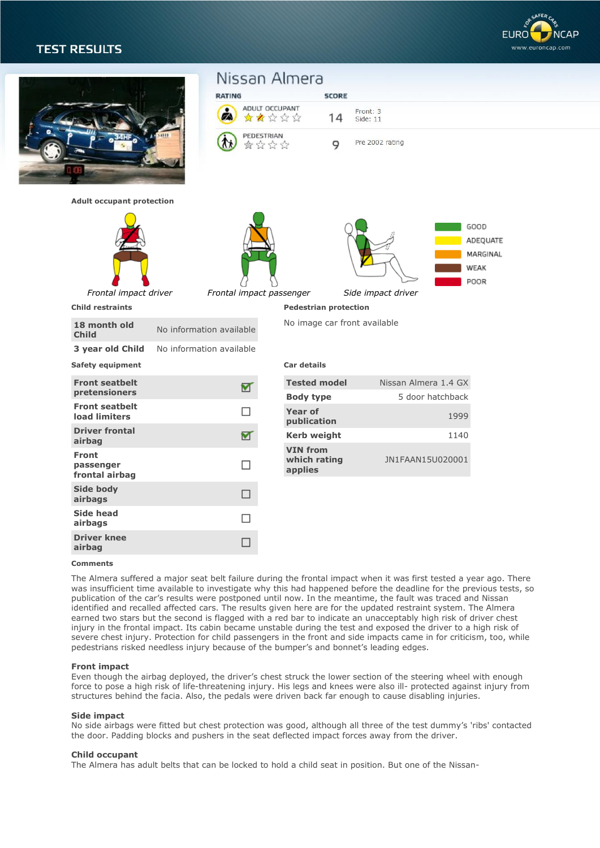# **TEST RESULTS**



|                                                           | Nissan Almera<br><b>RATING</b><br>ADULT OCCUPANT<br>☆☆☆☆☆<br>ØA.<br>PEDESTRIAN<br>食命命命<br>ЛX | <b>SCORE</b><br>14<br>9                    | Front: 3<br>Side: 11<br>Pre 2002 rating  |                                              |
|-----------------------------------------------------------|----------------------------------------------------------------------------------------------|--------------------------------------------|------------------------------------------|----------------------------------------------|
| <b>Adult occupant protection</b><br>Frontal impact driver |                                                                                              |                                            | Side impact driver                       | GOOD<br>ADEQUATE<br>MARGINAL<br>WEAK<br>POOR |
| <b>Child restraints</b>                                   | Frontal impact passenger                                                                     | <b>Pedestrian protection</b>               |                                          |                                              |
| 18 month old<br><b>Child</b><br>3 year old Child          | No information available<br>No information available                                         | No image car front available               |                                          |                                              |
| <b>Safety equipment</b>                                   |                                                                                              | Car details                                |                                          |                                              |
| <b>Front seatbelt</b><br>pretensioners                    | ᢦ                                                                                            | <b>Tested model</b><br><b>Body type</b>    | Nissan Almera 1.4 GX<br>5 door hatchback |                                              |
| <b>Front seatbelt</b><br>load limiters                    | П                                                                                            | <b>Year of</b><br>publication              | 1999                                     |                                              |
| <b>Driver frontal</b><br>airbag                           | ⊻                                                                                            | <b>Kerb weight</b>                         | 1140                                     |                                              |
| <b>Front</b><br>passenger<br>frontal airbag               | $\Box$                                                                                       | <b>VIN from</b><br>which rating<br>applies | JN1FAAN15U020001                         |                                              |
| Side body<br>airbags                                      | $\Box$                                                                                       |                                            |                                          |                                              |
| <b>Side head</b><br>airbags                               | $\Box$                                                                                       |                                            |                                          |                                              |
| <b>Driver knee</b><br>airbag                              | $\Box$                                                                                       |                                            |                                          |                                              |
|                                                           |                                                                                              |                                            |                                          |                                              |

### **Comments**

The Almera suffered a major seat belt failure during the frontal impact when it was first tested a year ago. There was insufficient time available to investigate why this had happened before the deadline for the previous tests, so publication of the car's results were postponed until now. In the meantime, the fault was traced and Nissan identified and recalled affected cars. The results given here are for the updated restraint system. The Almera earned two stars but the second is flagged with a red bar to indicate an unacceptably high risk of driver chest injury in the frontal impact. Its cabin became unstable during the test and exposed the driver to a high risk of severe chest injury. Protection for child passengers in the front and side impacts came in for criticism, too, while pedestrians risked needless injury because of the bumper's and bonnet's leading edges.

# **Front impact**

Even though the airbag deployed, the driver's chest struck the lower section of the steering wheel with enough force to pose a high risk of life-threatening injury. His legs and knees were also ill- protected against injury from structures behind the facia. Also, the pedals were driven back far enough to cause disabling injuries.

#### **Side impact**

No side airbags were fitted but chest protection was good, although all three of the test dummy's 'ribs' contacted the door. Padding blocks and pushers in the seat deflected impact forces away from the driver.

## **Child occupant**

The Almera has adult belts that can be locked to hold a child seat in position. But one of the Nissan-